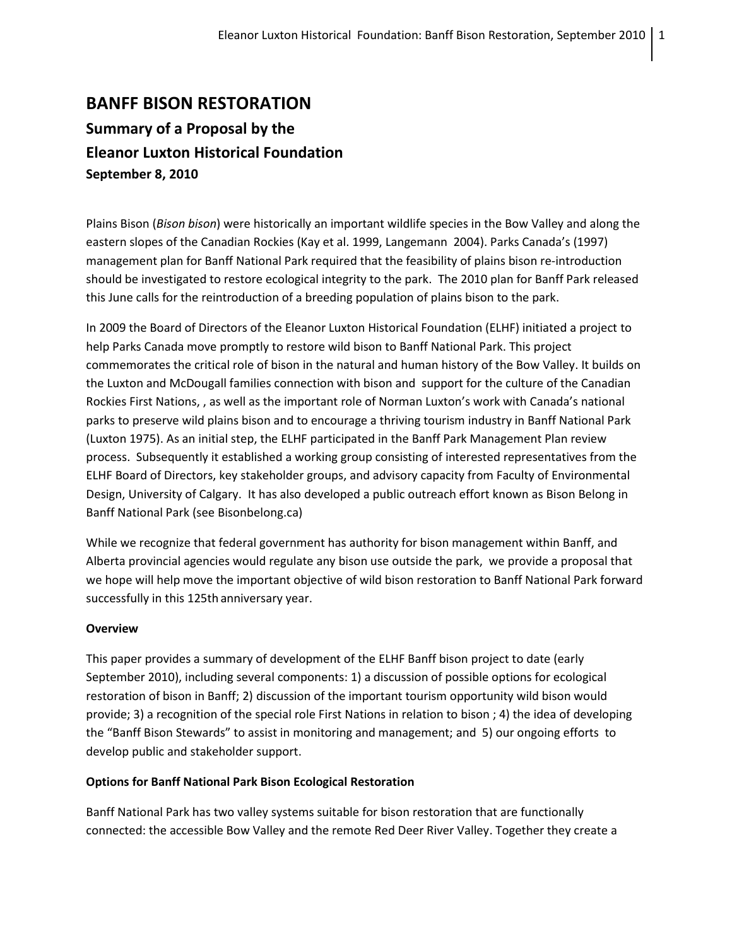# **BANFF BISON RESTORATION Summary of a Proposal by the Eleanor Luxton Historical Foundation September 8, 2010**

Plains Bison (*Bison bison*) were historically an important wildlife species in the Bow Valley and along the eastern slopes of the Canadian Rockies (Kay et al. 1999, Langemann 2004). Parks Canada's (1997) management plan for Banff National Park required that the feasibility of plains bison re-introduction should be investigated to restore ecological integrity to the park. The 2010 plan for Banff Park released this June calls for the reintroduction of a breeding population of plains bison to the park.

In 2009 the Board of Directors of the Eleanor Luxton Historical Foundation (ELHF) initiated a project to help Parks Canada move promptly to restore wild bison to Banff National Park. This project commemorates the critical role of bison in the natural and human history of the Bow Valley. It builds on the Luxton and McDougall families connection with bison and support for the culture of the Canadian Rockies First Nations, , as well as the important role of Norman Luxton's work with Canada's national parks to preserve wild plains bison and to encourage a thriving tourism industry in Banff National Park (Luxton 1975). As an initial step, the ELHF participated in the Banff Park Management Plan review process. Subsequently it established a working group consisting of interested representatives from the ELHF Board of Directors, key stakeholder groups, and advisory capacity from Faculty of Environmental Design, University of Calgary. It has also developed a public outreach effort known as Bison Belong in Banff National Park (see Bisonbelong.ca)

While we recognize that federal government has authority for bison management within Banff, and Alberta provincial agencies would regulate any bison use outside the park, we provide a proposal that we hope will help move the important objective of wild bison restoration to Banff National Park forward successfully in this 125th anniversary year.

#### **Overview**

This paper provides a summary of development of the ELHF Banff bison project to date (early September 2010), including several components: 1) a discussion of possible options for ecological restoration of bison in Banff; 2) discussion of the important tourism opportunity wild bison would provide; 3) a recognition of the special role First Nations in relation to bison ; 4) the idea of developing the "Banff Bison Stewards" to assist in monitoring and management; and 5) our ongoing efforts to develop public and stakeholder support.

#### **Options for Banff National Park Bison Ecological Restoration**

Banff National Park has two valley systems suitable for bison restoration that are functionally connected: the accessible Bow Valley and the remote Red Deer River Valley. Together they create a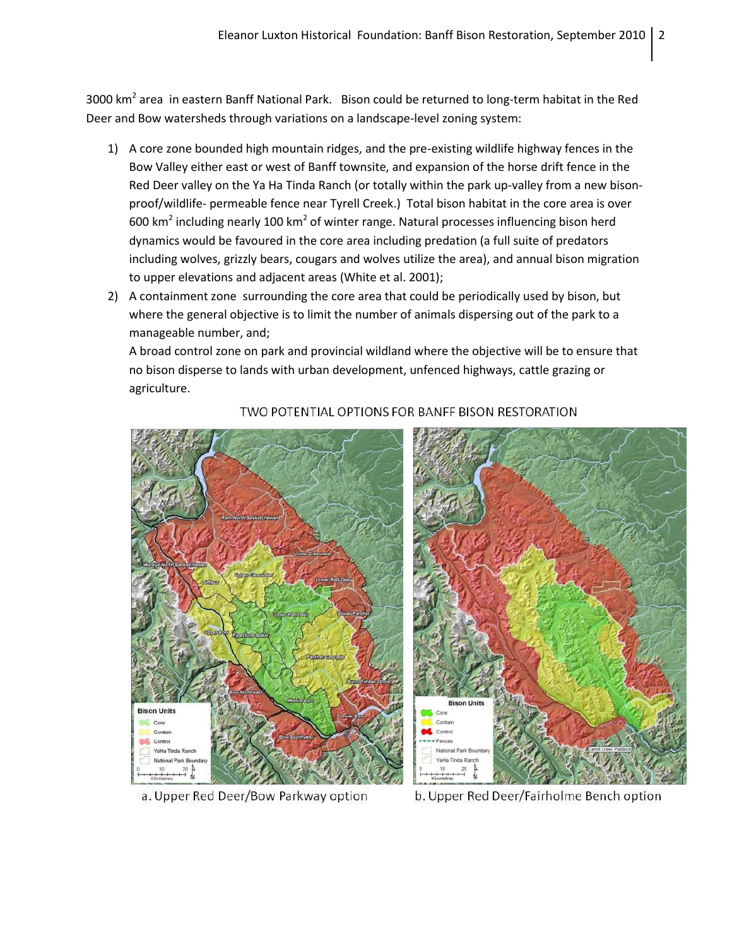3000 km<sup>2</sup> area in eastern Banff National Park. Bison could be returned to long-term habitat in the Red Deer and Bow watersheds through variations on a landscape-level zoning system:

- 1) A core zone bounded high mountain ridges, and the pre-existing wildlife highway fences in the Bow Valley either east or west of Banff townsite, and expansion of the horse drift fence in the Red Deer valley on the Ya Ha Tinda Ranch (or totally within the park up-valley from a new bisonproof/wildlife- permeable fence near Tyrell Creek.) Total bison habitat in the core area is over 600 km<sup>2</sup> including nearly 100 km<sup>2</sup> of winter range. Natural processes influencing bison herd dynamics would be favoured in the core area including predation (a full suite of predators including wolves, grizzly bears, cougars and wolves utilize the area), and annual bison migration to upper elevations and adjacent areas (White et al. 2001);
- 2) A containment zone surrounding the core area that could be periodically used by bison, but where the general objective is to limit the number of animals dispersing out of the park to a manageable number, and;

A broad control zone on park and provincial wildland where the objective will be to ensure that no bison disperse to lands with urban development, unfenced highways, cattle grazing or agriculture.



## TWO POTENTIAL OPTIONS FOR BANFF BISON RESTORATION

a. Upper Red Deer/Bow Parkway option

b. Upper Red Deer/Fairholme Bench option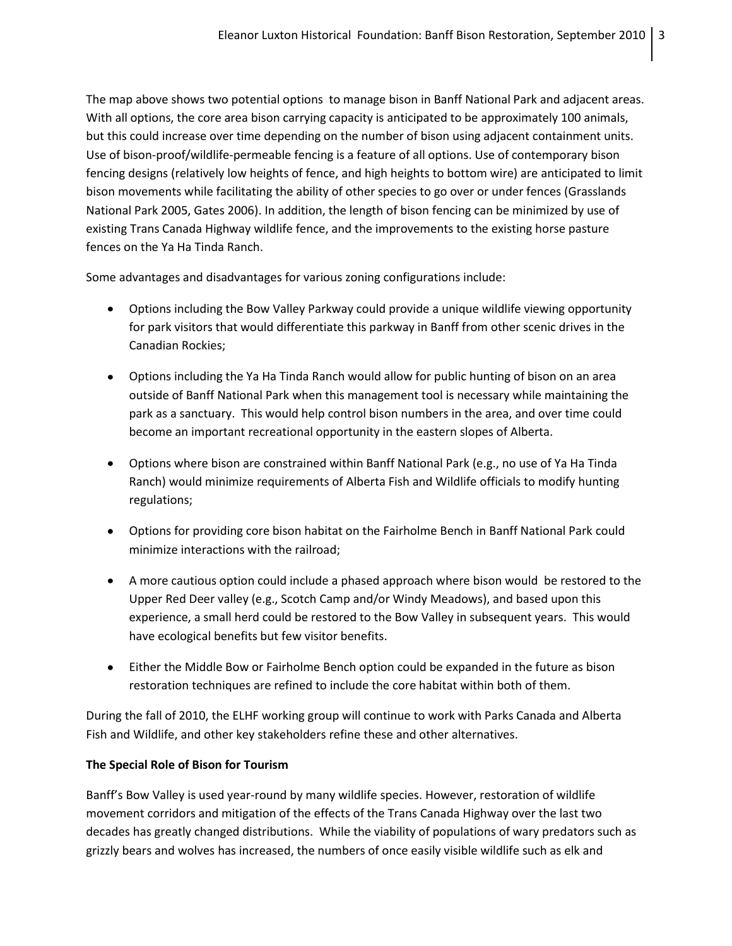The map above shows two potential options to manage bison in Banff National Park and adjacent areas. With all options, the core area bison carrying capacity is anticipated to be approximately 100 animals, but this could increase over time depending on the number of bison using adjacent containment units. Use of bison-proof/wildlife-permeable fencing is a feature of all options. Use of contemporary bison fencing designs (relatively low heights of fence, and high heights to bottom wire) are anticipated to limit bison movements while facilitating the ability of other species to go over or under fences (Grasslands National Park 2005, Gates 2006). In addition, the length of bison fencing can be minimized by use of existing Trans Canada Highway wildlife fence, and the improvements to the existing horse pasture fences on the Ya Ha Tinda Ranch.

Some advantages and disadvantages for various zoning configurations include:

- Options including the Bow Valley Parkway could provide a unique wildlife viewing opportunity for park visitors that would differentiate this parkway in Banff from other scenic drives in the Canadian Rockies;
- Options including the Ya Ha Tinda Ranch would allow for public hunting of bison on an area outside of Banff National Park when this management tool is necessary while maintaining the park as a sanctuary. This would help control bison numbers in the area, and over time could become an important recreational opportunity in the eastern slopes of Alberta.
- Options where bison are constrained within Banff National Park (e.g., no use of Ya Ha Tinda Ranch) would minimize requirements of Alberta Fish and Wildlife officials to modify hunting regulations;
- Options for providing core bison habitat on the Fairholme Bench in Banff National Park could minimize interactions with the railroad;
- A more cautious option could include a phased approach where bison would be restored to the Upper Red Deer valley (e.g., Scotch Camp and/or Windy Meadows), and based upon this experience, a small herd could be restored to the Bow Valley in subsequent years. This would have ecological benefits but few visitor benefits.
- Either the Middle Bow or Fairholme Bench option could be expanded in the future as bison restoration techniques are refined to include the core habitat within both of them.

During the fall of 2010, the ELHF working group will continue to work with Parks Canada and Alberta Fish and Wildlife, and other key stakeholders refine these and other alternatives.

## **The Special Role of Bison for Tourism**

Banff's Bow Valley is used year-round by many wildlife species. However, restoration of wildlife movement corridors and mitigation of the effects of the Trans Canada Highway over the last two decades has greatly changed distributions. While the viability of populations of wary predators such as grizzly bears and wolves has increased, the numbers of once easily visible wildlife such as elk and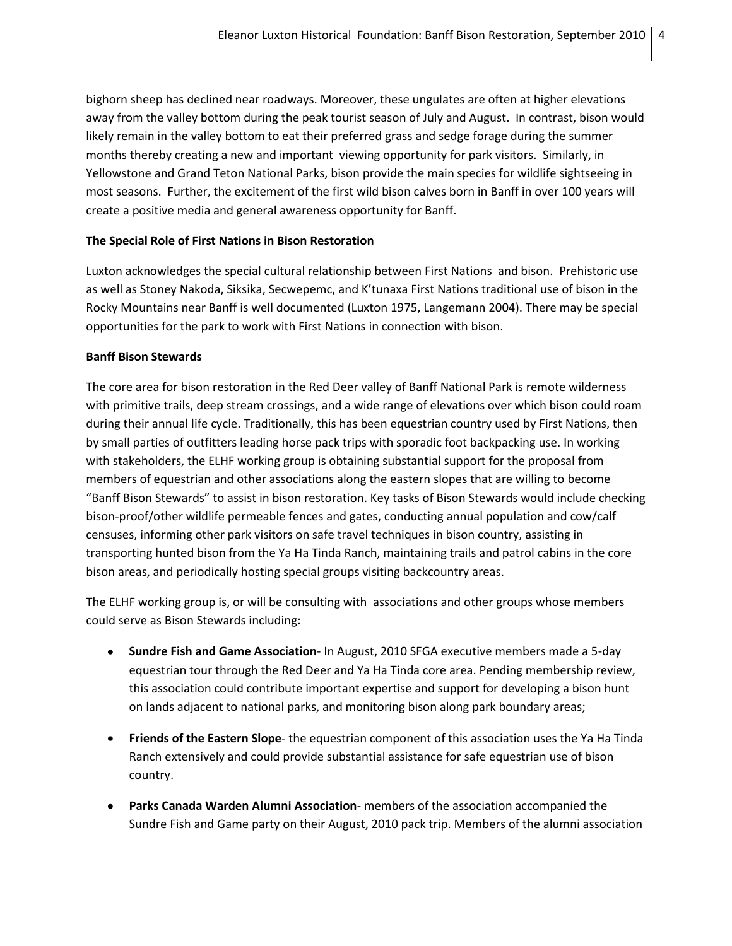bighorn sheep has declined near roadways. Moreover, these ungulates are often at higher elevations away from the valley bottom during the peak tourist season of July and August. In contrast, bison would likely remain in the valley bottom to eat their preferred grass and sedge forage during the summer months thereby creating a new and important viewing opportunity for park visitors. Similarly, in Yellowstone and Grand Teton National Parks, bison provide the main species for wildlife sightseeing in most seasons. Further, the excitement of the first wild bison calves born in Banff in over 100 years will create a positive media and general awareness opportunity for Banff.

#### **The Special Role of First Nations in Bison Restoration**

Luxton acknowledges the special cultural relationship between First Nations and bison. Prehistoric use as well as Stoney Nakoda, Siksika, Secwepemc, and K'tunaxa First Nations traditional use of bison in the Rocky Mountains near Banff is well documented (Luxton 1975, Langemann 2004). There may be special opportunities for the park to work with First Nations in connection with bison.

#### **Banff Bison Stewards**

The core area for bison restoration in the Red Deer valley of Banff National Park is remote wilderness with primitive trails, deep stream crossings, and a wide range of elevations over which bison could roam during their annual life cycle. Traditionally, this has been equestrian country used by First Nations, then by small parties of outfitters leading horse pack trips with sporadic foot backpacking use. In working with stakeholders, the ELHF working group is obtaining substantial support for the proposal from members of equestrian and other associations along the eastern slopes that are willing to become "Banff Bison Stewards" to assist in bison restoration. Key tasks of Bison Stewards would include checking bison-proof/other wildlife permeable fences and gates, conducting annual population and cow/calf censuses, informing other park visitors on safe travel techniques in bison country, assisting in transporting hunted bison from the Ya Ha Tinda Ranch, maintaining trails and patrol cabins in the core bison areas, and periodically hosting special groups visiting backcountry areas.

The ELHF working group is, or will be consulting with associations and other groups whose members could serve as Bison Stewards including:

- **Sundre Fish and Game Association** In August, 2010 SFGA executive members made a 5-day equestrian tour through the Red Deer and Ya Ha Tinda core area. Pending membership review, this association could contribute important expertise and support for developing a bison hunt on lands adjacent to national parks, and monitoring bison along park boundary areas;
- **Friends of the Eastern Slope** the equestrian component of this association uses the Ya Ha Tinda Ranch extensively and could provide substantial assistance for safe equestrian use of bison country.
- **Parks Canada Warden Alumni Association** members of the association accompanied the Sundre Fish and Game party on their August, 2010 pack trip. Members of the alumni association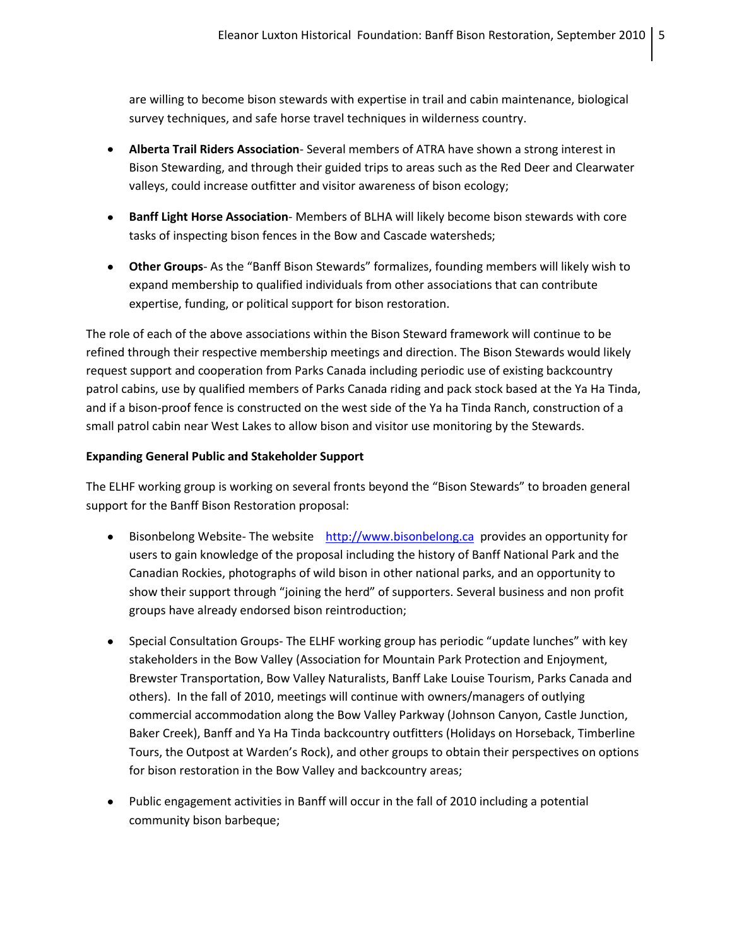are willing to become bison stewards with expertise in trail and cabin maintenance, biological survey techniques, and safe horse travel techniques in wilderness country.

- **Alberta Trail Riders Association** Several members of ATRA have shown a strong interest in Bison Stewarding, and through their guided trips to areas such as the Red Deer and Clearwater valleys, could increase outfitter and visitor awareness of bison ecology;
- **Banff Light Horse Association** Members of BLHA will likely become bison stewards with core tasks of inspecting bison fences in the Bow and Cascade watersheds;
- **Other Groups** As the "Banff Bison Stewards" formalizes, founding members will likely wish to expand membership to qualified individuals from other associations that can contribute expertise, funding, or political support for bison restoration.

The role of each of the above associations within the Bison Steward framework will continue to be refined through their respective membership meetings and direction. The Bison Stewards would likely request support and cooperation from Parks Canada including periodic use of existing backcountry patrol cabins, use by qualified members of Parks Canada riding and pack stock based at the Ya Ha Tinda, and if a bison-proof fence is constructed on the west side of the Ya ha Tinda Ranch, construction of a small patrol cabin near West Lakes to allow bison and visitor use monitoring by the Stewards.

#### **Expanding General Public and Stakeholder Support**

The ELHF working group is working on several fronts beyond the "Bison Stewards" to broaden general support for the Banff Bison Restoration proposal:

- Bisonbelong Website- The website [http://www.bisonbelong.ca](http://www.bisonbelong.ca/) provides an opportunity for  $\bullet$ users to gain knowledge of the proposal including the history of Banff National Park and the Canadian Rockies, photographs of wild bison in other national parks, and an opportunity to show their support through "joining the herd" of supporters. Several business and non profit groups have already endorsed bison reintroduction;
- Special Consultation Groups- The ELHF working group has periodic "update lunches" with key stakeholders in the Bow Valley (Association for Mountain Park Protection and Enjoyment, Brewster Transportation, Bow Valley Naturalists, Banff Lake Louise Tourism, Parks Canada and others). In the fall of 2010, meetings will continue with owners/managers of outlying commercial accommodation along the Bow Valley Parkway (Johnson Canyon, Castle Junction, Baker Creek), Banff and Ya Ha Tinda backcountry outfitters (Holidays on Horseback, Timberline Tours, the Outpost at Warden's Rock), and other groups to obtain their perspectives on options for bison restoration in the Bow Valley and backcountry areas;
- Public engagement activities in Banff will occur in the fall of 2010 including a potential community bison barbeque;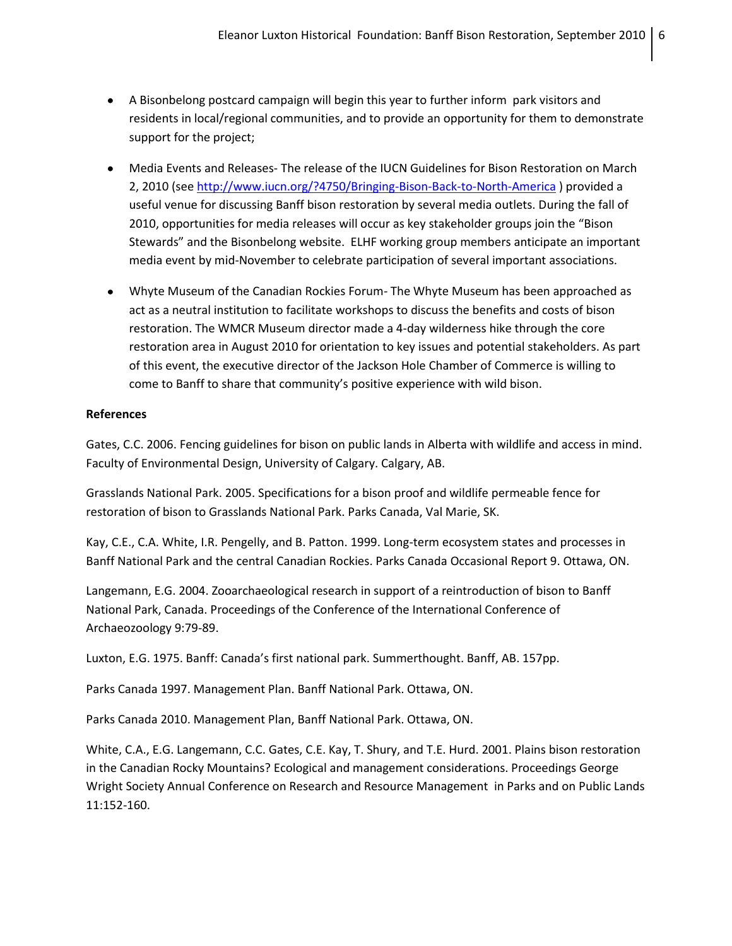- A Bisonbelong postcard campaign will begin this year to further inform park visitors and residents in local/regional communities, and to provide an opportunity for them to demonstrate support for the project;
- Media Events and Releases- The release of the IUCN Guidelines for Bison Restoration on March 2, 2010 (se[e http://www.iucn.org/?4750/Bringing-Bison-Back-to-North-America](http://www.iucn.org/?4750/Bringing-Bison-Back-to-North-America) ) provided a useful venue for discussing Banff bison restoration by several media outlets. During the fall of 2010, opportunities for media releases will occur as key stakeholder groups join the "Bison Stewards" and the Bisonbelong website. ELHF working group members anticipate an important media event by mid-November to celebrate participation of several important associations.
- Whyte Museum of the Canadian Rockies Forum- The Whyte Museum has been approached as act as a neutral institution to facilitate workshops to discuss the benefits and costs of bison restoration. The WMCR Museum director made a 4-day wilderness hike through the core restoration area in August 2010 for orientation to key issues and potential stakeholders. As part of this event, the executive director of the Jackson Hole Chamber of Commerce is willing to come to Banff to share that community's positive experience with wild bison.

#### **References**

Gates, C.C. 2006. Fencing guidelines for bison on public lands in Alberta with wildlife and access in mind. Faculty of Environmental Design, University of Calgary. Calgary, AB.

Grasslands National Park. 2005. Specifications for a bison proof and wildlife permeable fence for restoration of bison to Grasslands National Park. Parks Canada, Val Marie, SK.

Kay, C.E., C.A. White, I.R. Pengelly, and B. Patton. 1999. Long-term ecosystem states and processes in Banff National Park and the central Canadian Rockies. Parks Canada Occasional Report 9. Ottawa, ON.

Langemann, E.G. 2004. Zooarchaeological research in support of a reintroduction of bison to Banff National Park, Canada. Proceedings of the Conference of the International Conference of Archaeozoology 9:79-89.

Luxton, E.G. 1975. Banff: Canada's first national park. Summerthought. Banff, AB. 157pp.

Parks Canada 1997. Management Plan. Banff National Park. Ottawa, ON.

Parks Canada 2010. Management Plan, Banff National Park. Ottawa, ON.

White, C.A., E.G. Langemann, C.C. Gates, C.E. Kay, T. Shury, and T.E. Hurd. 2001. Plains bison restoration in the Canadian Rocky Mountains? Ecological and management considerations. Proceedings George Wright Society Annual Conference on Research and Resource Management in Parks and on Public Lands 11:152-160.